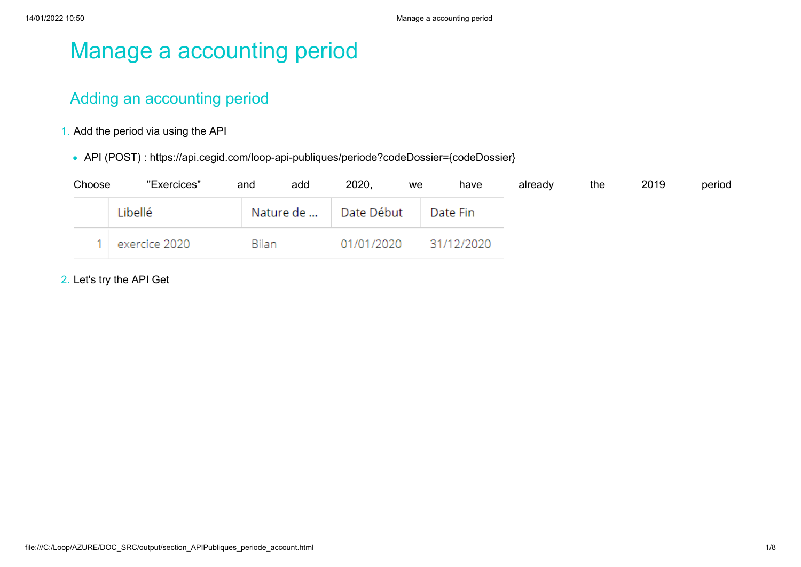# Manage a accounting period

# Adding an accounting period

- 1. Add the period via using the API
	- API (POST) : https://api.cegid.com/loop-api-publiques/periode?codeDossier={codeDossier}

| Choose | "Exercices"   | add<br>and | 2020,<br>we | have       | already | the | 2019 | period |
|--------|---------------|------------|-------------|------------|---------|-----|------|--------|
|        | Libellé       | Nature de  | Date Début  | Date Fin   |         |     |      |        |
|        | exercice 2020 | Bilan      | 01/01/2020  | 31/12/2020 |         |     |      |        |

2. Let's try the API Get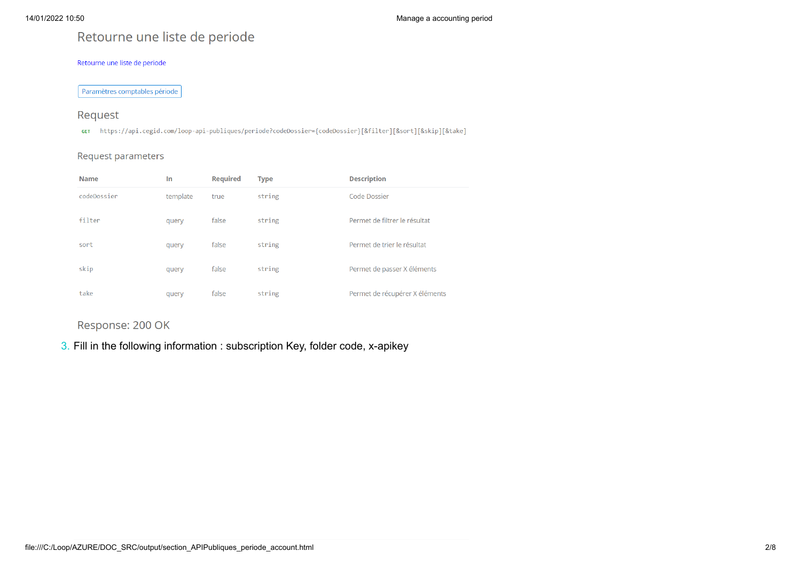# Retourne une liste de periode

#### Retourne une liste de periode

Paramètres comptables période

### Request

GET https://api.cegid.com/loop-api-publiques/periode?codeDossier={codeDossier}[&filter][&sort][&skip][&take]

#### Request parameters

| <b>Name</b> | In       | <b>Required</b> | <b>Type</b> | <b>Description</b>             |
|-------------|----------|-----------------|-------------|--------------------------------|
| codeDossier | template | true            | string      | Code Dossier                   |
| filter      | query    | false           | string      | Permet de filtrer le résultat  |
| sort        | query    | false           | string      | Permet de trier le résultat    |
| skip        | query    | false           | string      | Permet de passer X éléments    |
| take        | query    | false           | string      | Permet de récupérer X éléments |

Response: 200 OK

3. Fill in the following information : subscription Key, folder code, x-apikey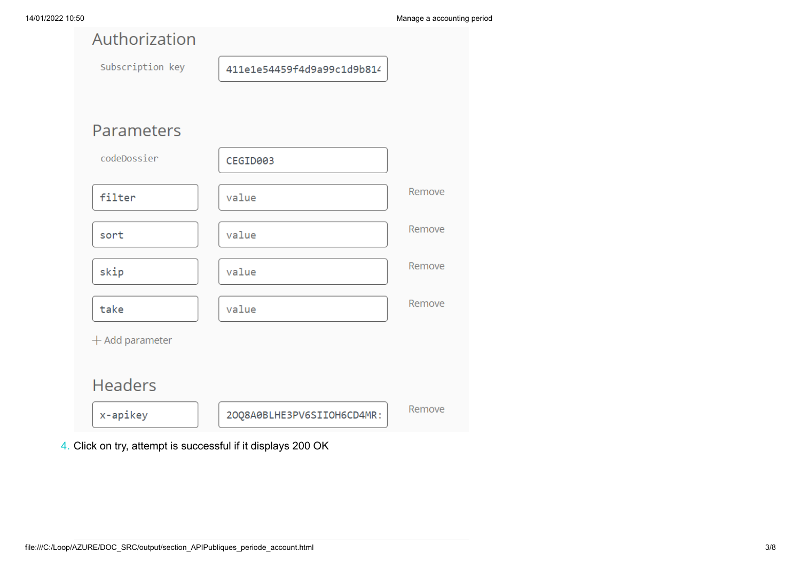| Authorization     |                            |        |
|-------------------|----------------------------|--------|
| Subscription key  | 411e1e54459f4d9a99c1d9b814 |        |
|                   |                            |        |
| Parameters        |                            |        |
| codeDossier       | CEGID003                   |        |
| filter            | value                      | Remove |
| sort              | value                      | Remove |
| skip              | value                      | Remove |
| take              | value                      | Remove |
| $+$ Add parameter |                            |        |
| <b>Headers</b>    |                            |        |
| x-apikey          | 20Q8A0BLHE3PV6SIIOH6CD4MR: | Remove |

4. Click on try, attempt is successful if it displays 200 OK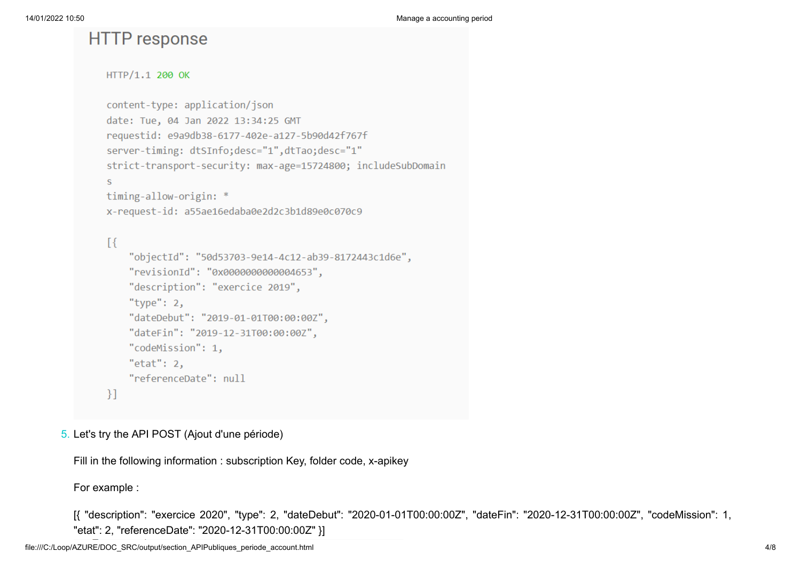# **HTTP** response

```
HTTP/1.1 200 OK
```

```
content-type: application/json
date: Tue, 04 Jan 2022 13:34:25 GMT
requestid: e9a9db38-6177-402e-a127-5b90d42f767f
server-timing: dtSInfo;desc="1",dtTao;desc="1"
strict-transport-security: max-age=15724800; includeSubDomain
\overline{\mathbf{s}}timing-allow-origin: *
x-request-id: a55ae16edaba0e2d2c3b1d89e0c070c9
\lceil \cdot \rceil
```
### "objectId": "50d53703-9e14-4c12-ab39-8172443c1d6e", "revisionId": "0x0000000000004653", "description": "exercice 2019", "type":  $2$ , "dateDebut": "2019-01-01T00:00:00Z", "dateFin": "2019-12-31T00:00:00Z", "codeMission": 1, " $etat$ ": 2, "referenceDate": null  $\}$ ]

### 5. Let's try the API POST (Ajout d'une période)

Fill in the following information : subscription Key, folder code, x-apikey

For example :

[{ "description": "exercice 2020", "type": 2, "dateDebut": "2020-01-01T00:00:00Z", "dateFin": "2020-12-31T00:00:00Z", "codeMission": 1, "etat": 2, "referenceDate": "2020-12-31T00:00:00Z" }]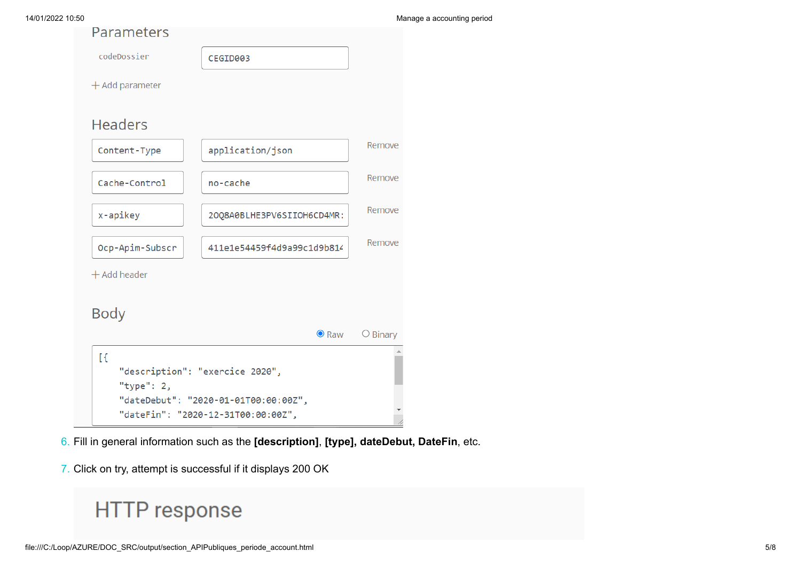|  | Parameters |  |
|--|------------|--|
|  |            |  |

| codeDossier                                                      | CEGID003                                                                   |                   |
|------------------------------------------------------------------|----------------------------------------------------------------------------|-------------------|
| $+$ Add parameter                                                |                                                                            |                   |
|                                                                  |                                                                            |                   |
| <b>Headers</b>                                                   |                                                                            |                   |
| Content-Type                                                     | application/json                                                           | Remove            |
| Cache-Control                                                    | no-cache                                                                   | Remove            |
| x-apikey                                                         | 20Q8A0BLHE3PV6SIIOH6CD4MR:                                                 | Remove            |
| Ocp-Apim-Subscr                                                  | 411e1e54459f4d9a99c1d9b814                                                 | Remove            |
| $+$ Add header                                                   |                                                                            |                   |
| Body                                                             |                                                                            |                   |
|                                                                  | $\bullet$ Raw                                                              | $\bigcirc$ Binary |
| $\mathbb{R}$<br>"description": "exercice 2020",<br>"type": $2$ , |                                                                            |                   |
|                                                                  | "dateDebut": "2020-01-01T00:00:00Z",<br>"dateFin": "2020-12-31T00:00:00Z", |                   |

6. Fill in general information such as the **[description]**, **[type], dateDebut, DateFin**, etc.

7. Click on try, attempt is successful if it displays 200 OK

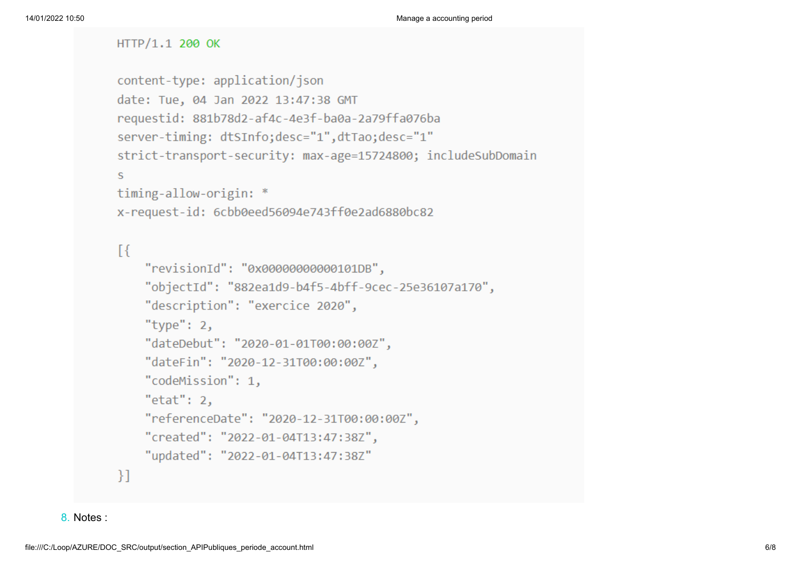### HTTP/1.1 200 OK

```
content-type: application/json
date: Tue, 04 Jan 2022 13:47:38 GMT
requestid: 881b78d2-af4c-4e3f-ba0a-2a79ffa076ba
server-timing: dtSInfo;desc="1",dtTao;desc="1"
strict-transport-security: max-age=15724800; includeSubDomain
s
timing-allow-origin: *
```

```
x-request-id: 6cbb0eed56094e743ff0e2ad6880bc82
```
### $\lceil \cdot \rceil$

```
"revisionId": "0x00000000000101DB",
    "objectId": "882ea1d9-b4f5-4bff-9cec-25e36107a170",
    "description": "exercice 2020",
    "type": 2,
    "dateDebut": "2020-01-01T00:00:00Z",
    "dateFin": "2020-12-31T00:00:00Z",
    "codeMission": 1,
    "etat": 2.
    "referenceDate": "2020-12-31T00:00:00Z",
    "created": "2022-01-04T13:47:38Z",
    "updated": "2022-01-04T13:47:38Z"
-}1
```

```
8. Notes :
```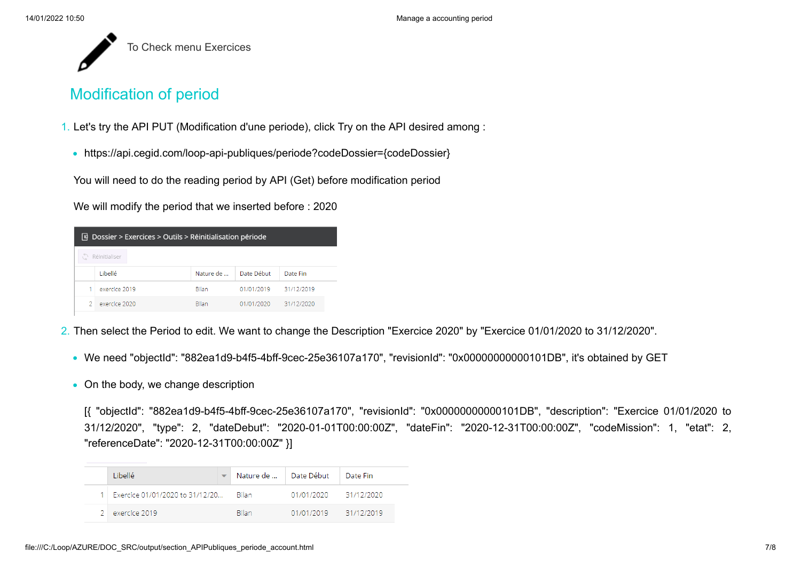

# Modification of period

- 1. Let's try the API PUT (Modification d'une periode), click Try on the API desired among :
	- https://api.cegid.com/loop-api-publiques/periode?codeDossier={codeDossier}

You will need to do the reading period by API (Get) before modification period

We will modify the period that we inserted before : 2020

| $\boxed{q}$ Dossier > Exercices > Outils > Réinitialisation période |               |           |            |            |  |
|---------------------------------------------------------------------|---------------|-----------|------------|------------|--|
|                                                                     | Réinitialiser |           |            |            |  |
|                                                                     | Libellé       | Nature de | Date Début | Date Fin   |  |
|                                                                     | exercice 2019 | Bilan.    | 01/01/2019 | 31/12/2019 |  |
| D.                                                                  | exercice 2020 | Bilan.    | 01/01/2020 | 31/12/2020 |  |

- 2. Then select the Period to edit. We want to change the Description "Exercice 2020" by "Exercice 01/01/2020 to 31/12/2020".
	- We need "objectId": "882ea1d9-b4f5-4bff-9cec-25e36107a170", "revisionId": "0x00000000000101DB", it's obtained by GET
	- On the body, we change description

[{ "objectId": "882ea1d9-b4f5-4bff-9cec-25e36107a170", "revisionId": "0x00000000000101DB", "description": "Exercice 01/01/2020 to 31/12/2020", "type": 2, "dateDebut": "2020-01-01T00:00:00Z", "dateFin": "2020-12-31T00:00:00Z", "codeMission": 1, "etat": 2, "referenceDate": "2020-12-31T00:00:00Z" }]

| Libellé                               | Nature de    | Date Début | Date Fin   |
|---------------------------------------|--------------|------------|------------|
| Exercice 01/01/2020 to 31/12/20 Bilan |              | 01/01/2020 | 31/12/2020 |
| exercice 2019                         | <b>Bilan</b> | 01/01/2019 | 31/12/2019 |